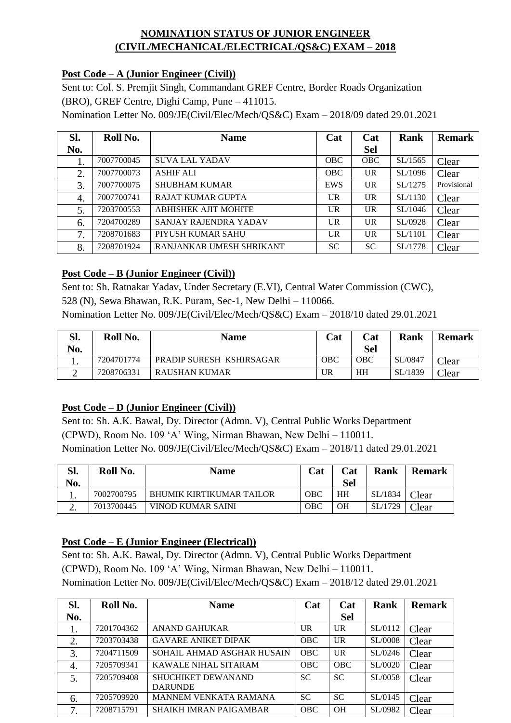# **NOMINATION STATUS OF JUNIOR ENGINEER (CIVIL/MECHANICAL/ELECTRICAL/QS&C) EXAM – 2018**

## **Post Code – A (Junior Engineer (Civil))**

Sent to: Col. S. Premjit Singh, Commandant GREF Centre, Border Roads Organization (BRO), GREF Centre, Dighi Camp, Pune – 411015. Nomination Letter No. 009/JE(Civil/Elec/Mech/QS&C) Exam – 2018/09 dated 29.01.2021

| Sl. | Roll No.   | <b>Name</b>                 | Cat        | Cat        | <b>Rank</b> | <b>Remark</b> |
|-----|------------|-----------------------------|------------|------------|-------------|---------------|
| No. |            |                             |            | <b>Sel</b> |             |               |
| ı.  | 7007700045 | <b>SUVA LAL YADAV</b>       | <b>OBC</b> | <b>OBC</b> | SL/1565     | Clear         |
| 2.  | 7007700073 | <b>ASHIF ALI</b>            | <b>OBC</b> | UR         | SL/1096     | Clear         |
| 3.  | 7007700075 | <b>SHUBHAM KUMAR</b>        | EWS        | UR         | SL/1275     | Provisional   |
| 4.  | 7007700741 | RAJAT KUMAR GUPTA           | <b>UR</b>  | UR.        | SL/1130     | Clear         |
| 5.  | 7203700553 | <b>ABHISHEK AJIT MOHITE</b> | <b>UR</b>  | UR         | SL/1046     | Clear         |
| 6.  | 7204700289 | SANJAY RAJENDRA YADAV       | <b>UR</b>  | UR         | SL/0928     | Clear         |
| 7.  | 7208701683 | PIYUSH KUMAR SAHU           | <b>UR</b>  | <b>UR</b>  | SL/1101     | Clear         |
| 8.  | 7208701924 | RANJANKAR UMESH SHRIKANT    | <b>SC</b>  | <b>SC</b>  | SL/1778     | Clear         |

## **Post Code – B (Junior Engineer (Civil))**

Sent to: Sh. Ratnakar Yadav, Under Secretary (E.VI), Central Water Commission (CWC), 528 (N), Sewa Bhawan, R.K. Puram, Sec-1, New Delhi – 110066.

Nomination Letter No. 009/JE(Civil/Elec/Mech/QS&C) Exam – 2018/10 dated 29.01.2021

| Sl. | Roll No.   | <b>Name</b>              | Cat        | Cat | Rank    | <b>Remark</b>  |
|-----|------------|--------------------------|------------|-----|---------|----------------|
| No. |            |                          |            | Sel |         |                |
|     | 7204701774 | PRADIP SURESH KSHIRSAGAR | <b>OBC</b> | OBC | SL/0847 | $\text{Clear}$ |
|     | 7208706331 | <b>RAUSHAN KUMAR</b>     | UR         | HH  | SL/1839 | $\text{Clear}$ |

# **Post Code – D (Junior Engineer (Civil))**

Sent to: Sh. A.K. Bawal, Dy. Director (Admn. V), Central Public Works Department (CPWD), Room No. 109 'A' Wing, Nirman Bhawan, New Delhi – 110011. Nomination Letter No. 009/JE(Civil/Elec/Mech/QS&C) Exam – 2018/11 dated 29.01.2021

| Sl.<br>No. | Roll No.   | <b>Name</b>                     | Cat        | Cat<br>Sel | Rank    | <b>Remark</b> |
|------------|------------|---------------------------------|------------|------------|---------|---------------|
| . .        | 7002700795 | <b>BHUMIK KIRTIKUMAR TAILOR</b> | OBC        | HH         | SL/1834 | $\gamma$ lear |
| <u>.</u>   | 7013700445 | VINOD KUMAR SAINI               | <b>OBC</b> | OН         | SL/1729 | $\bigcap$ ear |

#### **Post Code – E (Junior Engineer (Electrical))**

Sent to: Sh. A.K. Bawal, Dy. Director (Admn. V), Central Public Works Department (CPWD), Room No. 109 'A' Wing, Nirman Bhawan, New Delhi – 110011. Nomination Letter No. 009/JE(Civil/Elec/Mech/QS&C) Exam – 2018/12 dated 29.01.2021

| Sl. | Roll No.   | <b>Name</b>                                 | Cat        | Cat            | Rank    | <b>Remark</b> |
|-----|------------|---------------------------------------------|------------|----------------|---------|---------------|
| No. |            |                                             |            | <b>Sel</b>     |         |               |
| 1.  | 7201704362 | <b>ANAND GAHUKAR</b>                        | UR         | UR             | SL/0112 | Clear         |
| 2.  | 7203703438 | <b>GAVARE ANIKET DIPAK</b>                  | <b>OBC</b> | $_{\rm{UR}}$   | SL/0008 | Clear         |
| 3.  | 7204711509 | SOHAIL AHMAD ASGHAR HUSAIN                  | <b>OBC</b> | <b>UR</b>      | SL/0246 | Clear         |
| 4.  | 7205709341 | KAWALE NIHAL SITARAM                        | <b>OBC</b> | <b>OBC</b>     | SL/0020 | Clear         |
| 5.  | 7205709408 | <b>SHUCHIKET DEWANAND</b><br><b>DARUNDE</b> | <b>SC</b>  | <b>SC</b>      | SL/0058 | Clear         |
| 6.  | 7205709920 | <b>MANNEM VENKATA RAMANA</b>                | <b>SC</b>  | <b>SC</b>      | SL/0145 | Clear         |
| 7.  | 7208715791 | <b>SHAIKH IMRAN PAIGAMBAR</b>               | <b>OBC</b> | O <sub>H</sub> | SL/0982 | Clear         |